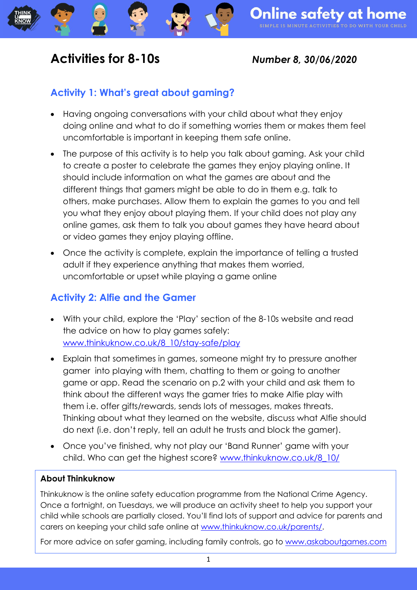## **Activities for 8-10s** *Number 8, 30/06/2020*

### **Activity 1: What's great about gaming?**

- Having ongoing conversations with your child about what they enjoy doing online and what to do if something worries them or makes them feel uncomfortable is important in keeping them safe online.
- The purpose of this activity is to help you talk about gaming. Ask your child to create a poster to celebrate the games they enjoy playing online. It should include information on what the games are about and the different things that gamers might be able to do in them e.g. talk to others, make purchases. Allow them to explain the games to you and tell you what they enjoy about playing them. If your child does not play any online games, ask them to talk you about games they have heard about or video games they enjoy playing offline.
- Once the activity is complete, explain the importance of telling a trusted adult if they experience anything that makes them worried, uncomfortable or upset while playing a game online

#### **Activity 2: Alfie and the Gamer**

- With your child, explore the 'Play' section of the 8-10s website and read the advice on how to play games safely: [www.thinkuknow.co.uk/8\\_10/stay-safe/play](http://www.thinkuknow.co.uk/8_10/stay-safe/play)
- Explain that sometimes in games, someone might try to pressure another gamer into playing with them, chatting to them or going to another game or app. Read the scenario on p.2 with your child and ask them to think about the different ways the gamer tries to make Alfie play with them i.e. offer gifts/rewards, sends lots of messages, makes threats. Thinking about what they learned on the website, discuss what Alfie should do next (i.e. don't reply, tell an adult he trusts and block the gamer).
- Once you've finished, why not play our 'Band Runner' game with your child. Who can get the highest score? [www.thinkuknow.co.uk/8\\_10/](http://www.thinkuknow.co.uk/8_10/)

#### **About Thinkuknow**

Thinkuknow is the online safety education programme from the National Crime Agency. Once a fortnight, on Tuesdays, we will produce an activity sheet to help you support your child while schools are partially closed. You'll find lots of support and advice for parents and carers on keeping your child safe online at [www.thinkuknow.co.uk/parents/.](http://www.thinkuknow.co.uk/parents/)

For more advice on safer gaming, including family controls, go to [www.askaboutgames.com](http://www.askaboutgames.com/)